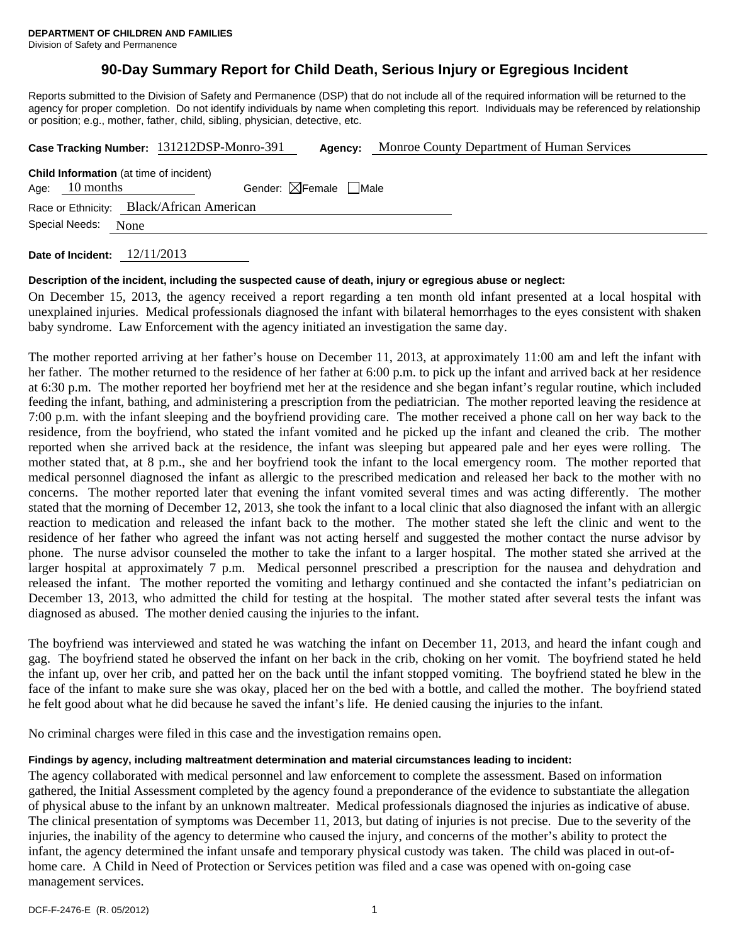# **90-Day Summary Report for Child Death, Serious Injury or Egregious Incident**

Reports submitted to the Division of Safety and Permanence (DSP) that do not include all of the required information will be returned to the agency for proper completion. Do not identify individuals by name when completing this report. Individuals may be referenced by relationship or position; e.g., mother, father, child, sibling, physician, detective, etc.

|                                                                                                              |                        | Case Tracking Number: 131212DSP-Monro-391 | Agency: | Monroe County Department of Human Services |  |
|--------------------------------------------------------------------------------------------------------------|------------------------|-------------------------------------------|---------|--------------------------------------------|--|
| <b>Child Information</b> (at time of incident)<br>Gender: $\boxtimes$ Female $\Box$ Male<br>Age: $10$ months |                        |                                           |         |                                            |  |
| Race or Ethnicity: Black/African American                                                                    |                        |                                           |         |                                            |  |
|                                                                                                              | Special Needs:<br>None |                                           |         |                                            |  |

**Date of Incident:** 12/11/2013

## **Description of the incident, including the suspected cause of death, injury or egregious abuse or neglect:**

On December 15, 2013, the agency received a report regarding a ten month old infant presented at a local hospital with unexplained injuries. Medical professionals diagnosed the infant with bilateral hemorrhages to the eyes consistent with shaken baby syndrome. Law Enforcement with the agency initiated an investigation the same day.

The mother reported arriving at her father's house on December 11, 2013, at approximately 11:00 am and left the infant with her father. The mother returned to the residence of her father at 6:00 p.m. to pick up the infant and arrived back at her residence at 6:30 p.m. The mother reported her boyfriend met her at the residence and she began infant's regular routine, which included feeding the infant, bathing, and administering a prescription from the pediatrician. The mother reported leaving the residence at 7:00 p.m. with the infant sleeping and the boyfriend providing care. The mother received a phone call on her way back to the residence, from the boyfriend, who stated the infant vomited and he picked up the infant and cleaned the crib. The mother reported when she arrived back at the residence, the infant was sleeping but appeared pale and her eyes were rolling. The mother stated that, at 8 p.m., she and her boyfriend took the infant to the local emergency room. The mother reported that medical personnel diagnosed the infant as allergic to the prescribed medication and released her back to the mother with no concerns. The mother reported later that evening the infant vomited several times and was acting differently. The mother stated that the morning of December 12, 2013, she took the infant to a local clinic that also diagnosed the infant with an allergic reaction to medication and released the infant back to the mother. The mother stated she left the clinic and went to the residence of her father who agreed the infant was not acting herself and suggested the mother contact the nurse advisor by phone. The nurse advisor counseled the mother to take the infant to a larger hospital. The mother stated she arrived at the larger hospital at approximately 7 p.m. Medical personnel prescribed a prescription for the nausea and dehydration and released the infant. The mother reported the vomiting and lethargy continued and she contacted the infant's pediatrician on December 13, 2013, who admitted the child for testing at the hospital. The mother stated after several tests the infant was diagnosed as abused. The mother denied causing the injuries to the infant.

The boyfriend was interviewed and stated he was watching the infant on December 11, 2013, and heard the infant cough and gag. The boyfriend stated he observed the infant on her back in the crib, choking on her vomit. The boyfriend stated he held the infant up, over her crib, and patted her on the back until the infant stopped vomiting. The boyfriend stated he blew in the face of the infant to make sure she was okay, placed her on the bed with a bottle, and called the mother. The boyfriend stated he felt good about what he did because he saved the infant's life. He denied causing the injuries to the infant.

No criminal charges were filed in this case and the investigation remains open.

# **Findings by agency, including maltreatment determination and material circumstances leading to incident:**

The agency collaborated with medical personnel and law enforcement to complete the assessment. Based on information gathered, the Initial Assessment completed by the agency found a preponderance of the evidence to substantiate the allegation of physical abuse to the infant by an unknown maltreater. Medical professionals diagnosed the injuries as indicative of abuse. The clinical presentation of symptoms was December 11, 2013, but dating of injuries is not precise. Due to the severity of the injuries, the inability of the agency to determine who caused the injury, and concerns of the mother's ability to protect the infant, the agency determined the infant unsafe and temporary physical custody was taken. The child was placed in out-ofhome care. A Child in Need of Protection or Services petition was filed and a case was opened with on-going case management services.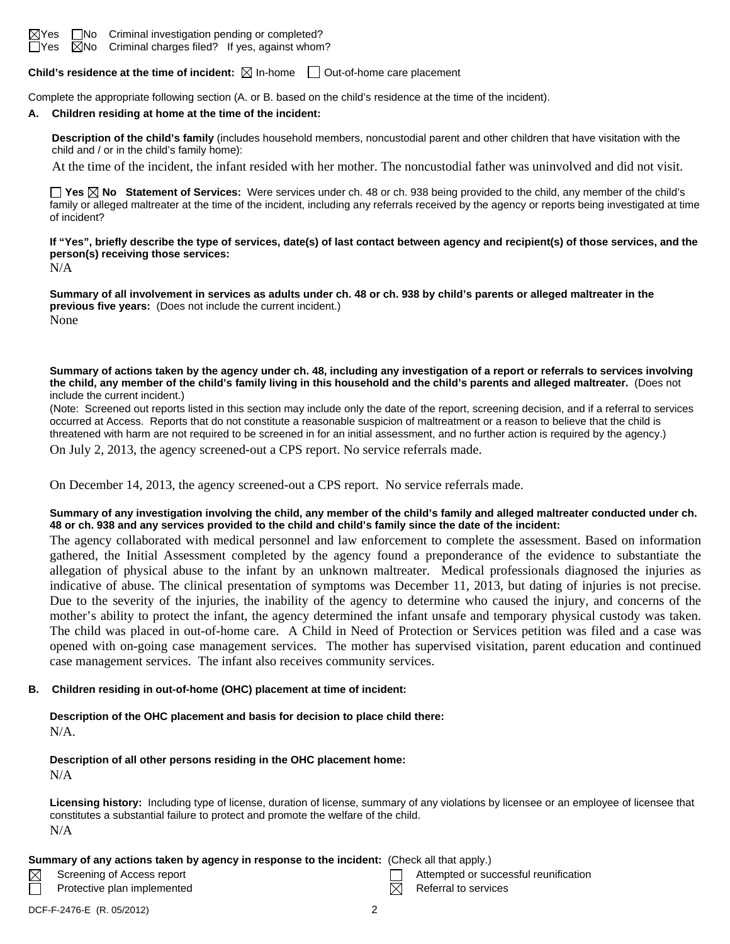

**Child's residence at the time of incident:**  $\boxtimes$  In-home  $\Box$  Out-of-home care placement

Complete the appropriate following section (A. or B. based on the child's residence at the time of the incident).

#### **A. Children residing at home at the time of the incident:**

**Description of the child's family** (includes household members, noncustodial parent and other children that have visitation with the child and / or in the child's family home):

At the time of the incident, the infant resided with her mother. The noncustodial father was uninvolved and did not visit.

**Yes No Statement of Services:** Were services under ch. 48 or ch. 938 being provided to the child, any member of the child's family or alleged maltreater at the time of the incident, including any referrals received by the agency or reports being investigated at time of incident?

**If "Yes", briefly describe the type of services, date(s) of last contact between agency and recipient(s) of those services, and the person(s) receiving those services:** 

N/A

**Summary of all involvement in services as adults under ch. 48 or ch. 938 by child's parents or alleged maltreater in the previous five years:** (Does not include the current incident.) None

**Summary of actions taken by the agency under ch. 48, including any investigation of a report or referrals to services involving the child, any member of the child's family living in this household and the child's parents and alleged maltreater.** (Does not include the current incident.)

(Note: Screened out reports listed in this section may include only the date of the report, screening decision, and if a referral to services occurred at Access. Reports that do not constitute a reasonable suspicion of maltreatment or a reason to believe that the child is threatened with harm are not required to be screened in for an initial assessment, and no further action is required by the agency.)

On July 2, 2013, the agency screened-out a CPS report. No service referrals made.

On December 14, 2013, the agency screened-out a CPS report. No service referrals made.

## **Summary of any investigation involving the child, any member of the child's family and alleged maltreater conducted under ch. 48 or ch. 938 and any services provided to the child and child's family since the date of the incident:**

The agency collaborated with medical personnel and law enforcement to complete the assessment. Based on information gathered, the Initial Assessment completed by the agency found a preponderance of the evidence to substantiate the allegation of physical abuse to the infant by an unknown maltreater. Medical professionals diagnosed the injuries as indicative of abuse. The clinical presentation of symptoms was December 11, 2013, but dating of injuries is not precise. Due to the severity of the injuries, the inability of the agency to determine who caused the injury, and concerns of the mother's ability to protect the infant, the agency determined the infant unsafe and temporary physical custody was taken. The child was placed in out-of-home care. A Child in Need of Protection or Services petition was filed and a case was opened with on-going case management services. The mother has supervised visitation, parent education and continued case management services. The infant also receives community services.

## **B. Children residing in out-of-home (OHC) placement at time of incident:**

#### **Description of the OHC placement and basis for decision to place child there:** N/A.

# **Description of all other persons residing in the OHC placement home:**

N/A

**Licensing history:** Including type of license, duration of license, summary of any violations by licensee or an employee of licensee that constitutes a substantial failure to protect and promote the welfare of the child. N/A

## **Summary of any actions taken by agency in response to the incident:** (Check all that apply.)

- 
- Protective plan implemented  $R$  Referral to services
- Screening of Access report Attempted or successful reunification
	-